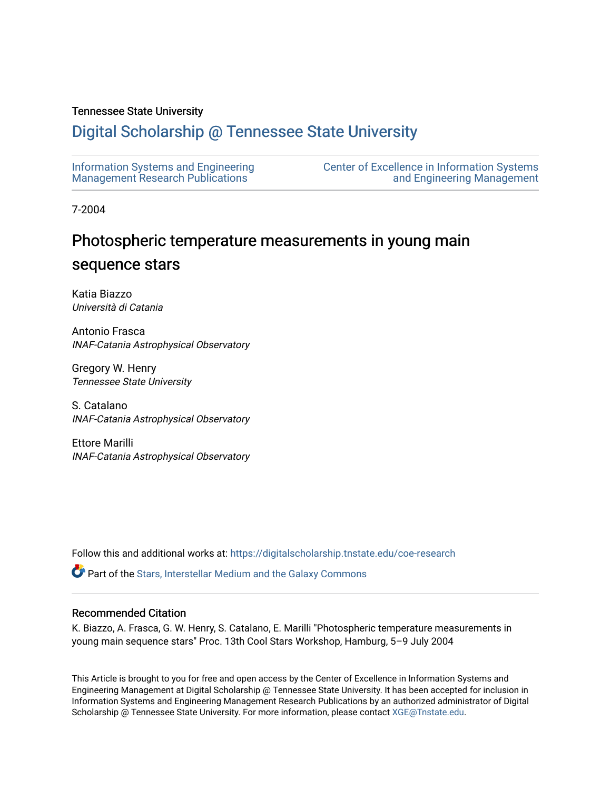# Tennessee State University

# [Digital Scholarship @ Tennessee State University](https://digitalscholarship.tnstate.edu/)

| Information Systems and Engineering     | <b>Center of Excellence in Information Systems</b> |
|-----------------------------------------|----------------------------------------------------|
| <b>Management Research Publications</b> | and Engineering Management                         |

7-2004

# Photospheric temperature measurements in young main sequence stars

Katia Biazzo Università di Catania

Antonio Frasca INAF-Catania Astrophysical Observatory

Gregory W. Henry Tennessee State University

S. Catalano INAF-Catania Astrophysical Observatory

Ettore Marilli INAF-Catania Astrophysical Observatory

Follow this and additional works at: [https://digitalscholarship.tnstate.edu/coe-research](https://digitalscholarship.tnstate.edu/coe-research?utm_source=digitalscholarship.tnstate.edu%2Fcoe-research%2F271&utm_medium=PDF&utm_campaign=PDFCoverPages) 

**P** Part of the Stars, Interstellar Medium and the Galaxy Commons

# Recommended Citation

K. Biazzo, A. Frasca, G. W. Henry, S. Catalano, E. Marilli "Photospheric temperature measurements in young main sequence stars" Proc. 13th Cool Stars Workshop, Hamburg, 5–9 July 2004

This Article is brought to you for free and open access by the Center of Excellence in Information Systems and Engineering Management at Digital Scholarship @ Tennessee State University. It has been accepted for inclusion in Information Systems and Engineering Management Research Publications by an authorized administrator of Digital Scholarship @ Tennessee State University. For more information, please contact [XGE@Tnstate.edu](mailto:XGE@Tnstate.edu).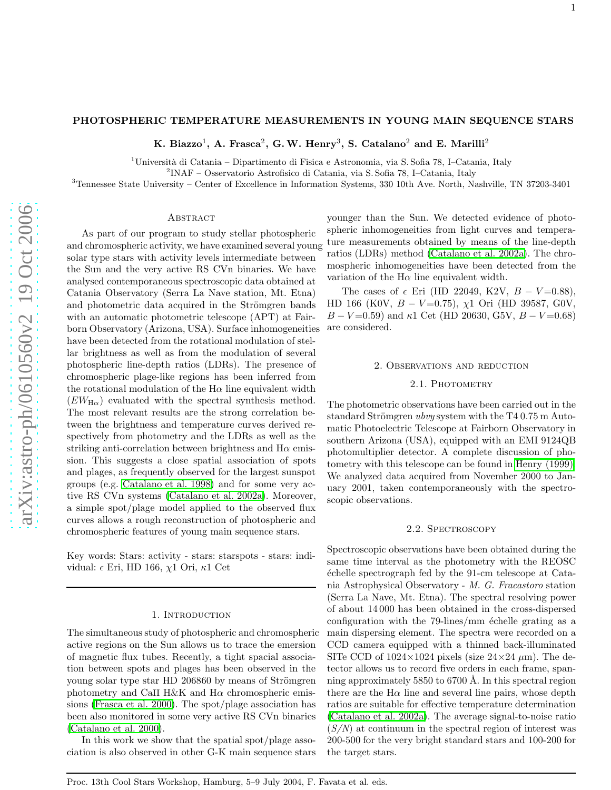# PHOTOSPHERIC TEMPERATURE MEASUREMENTS IN YOUNG MAIN SEQUENCE STARS

K. Biazzo<sup>1</sup>, A. Frasca<sup>2</sup>, G. W. Henry<sup>3</sup>, S. Catalano<sup>2</sup> and E. Marilli<sup>2</sup>

<sup>1</sup>Università di Catania – Dipartimento di Fisica e Astronomia, via S. Sofia 78, I–Catania, Italy

 $2$ INAF – Osservatorio Astrofisico di Catania, via S. Sofia 78, I–Catania, Italy

<sup>3</sup>Tennessee State University – Center of Excellence in Information Systems, 330 10th Ave. North, Nashville, TN 37203-340 1

#### **ABSTRACT**

As part of our program to study stellar photospheric and chromospheric activity, we have examined several young solar type stars with activity levels intermediate between the Sun and the very active RS CVn binaries. We have analysed contemporaneous spectroscopic data obtained at Catania Observatory (Serra La Nave station, Mt. Etna) and photometric data acquired in the Strömgren bands with an automatic photometric telescope (APT) at Fairborn Observatory (Arizona, USA). Surface inhomogeneities have been detected from the rotational modulation of stellar brightness as well as from the modulation of several photospheric line-depth ratios (LDRs). The presence of chromospheric plage-like regions has been inferred from the rotational modulation of the  $H\alpha$  line equivalent width  $(EW_{\text{H}\alpha})$  evaluated with the spectral synthesis method. The most relevant results are the strong correlation between the brightness and temperature curves derived respectively from photometry and the LDRs as well as the striking anti-correlation between brightness and  $H\alpha$  emission. This suggests a close spatial association of spots and plages, as frequently observed for the largest sunspot groups (e.g. [Catalano et al. 1998\)](#page-4-0) and for some very active RS CVn systems [\(Catalano et al. 2002a\)](#page-4-1). Moreover, a simple spot/plage model applied to the observed flux curves allows a rough reconstruction of photospheric and chromospheric features of young main sequence stars.

Key words: Stars: activity - stars: starspots - stars: individual:  $\epsilon$  Eri, HD 166,  $\chi$ 1 Ori,  $\kappa$ 1 Cet

# 1. INTRODUCTION

The simultaneous study of photospheric and chromospheric active regions on the Sun allows us to trace the emersion of magnetic flux tubes. Recently, a tight spacial association between spots and plages has been observed in the young solar type star HD 206860 by means of Strömgren photometry and CaII H&K and  $H\alpha$  chromospheric emissions [\(Frasca et al. 2000\)](#page-4-2). The spot/plage association has been also monitored in some very active RS CVn binaries [\(Catalano et al. 2000\)](#page-4-3).

In this work we show that the spatial spot/plage association is also observed in other G-K main sequence stars younger than the Sun. We detected evidence of photospheric inhomogeneities from light curves and temperature measurements obtained by means of the line-depth ratios (LDRs) method [\(Catalano et al. 2002a\)](#page-4-1). The chromospheric inhomogeneities have been detected from the variation of the  $H\alpha$  line equivalent width.

The cases of  $\epsilon$  Eri (HD 22049, K2V,  $B - V = 0.88$ ), HD 166 (K0V,  $B - V = 0.75$ ),  $\chi$ 1 Ori (HD 39587, G0V,  $B - V = 0.59$ ) and  $\kappa$ 1 Cet (HD 20630, G5V,  $B - V = 0.68$ ) are considered.

#### 2. Observations and reduction

# 2.1. PHOTOMETRY

The photometric observations have been carried out in the standard Strömgren ubvy system with the T4 0.75 m Automatic Photoelectric Telescope at Fairborn Observatory in southern Arizona (USA), equipped with an EMI 9124QB photomultiplier detector. A complete discussion of photometry with this telescope can be found in [Henry \(1999\).](#page-5-0) We analyzed data acquired from November 2000 to January 2001, taken contemporaneously with the spectroscopic observations.

# 2.2. Spectroscopy

Spectroscopic observations have been obtained during the same time interval as the photometry with the REOSC ´echelle spectrograph fed by the 91-cm telescope at Catania Astrophysical Observatory - M. G. Fracastoro station (Serra La Nave, Mt. Etna). The spectral resolving power of about 14 000 has been obtained in the cross-dispersed configuration with the  $79$ -lines/mm échelle grating as a main dispersing element. The spectra were recorded on a CCD camera equipped with a thinned back-illuminated SITe CCD of  $1024 \times 1024$  pixels (size  $24 \times 24$   $\mu$ m). The detector allows us to record five orders in each frame, spanning approximately  $5850$  to  $6700$  Å. In this spectral region there are the  $H\alpha$  line and several line pairs, whose depth ratios are suitable for effective temperature determination [\(Catalano et al. 2002a\)](#page-4-1). The average signal-to-noise ratio  $(S/N)$  at continuum in the spectral region of interest was 200-500 for the very bright standard stars and 100-200 for the target stars.

Proc. 13th Cool Stars Workshop, Hamburg, 5–9 July 2004, F. Favata et al. eds.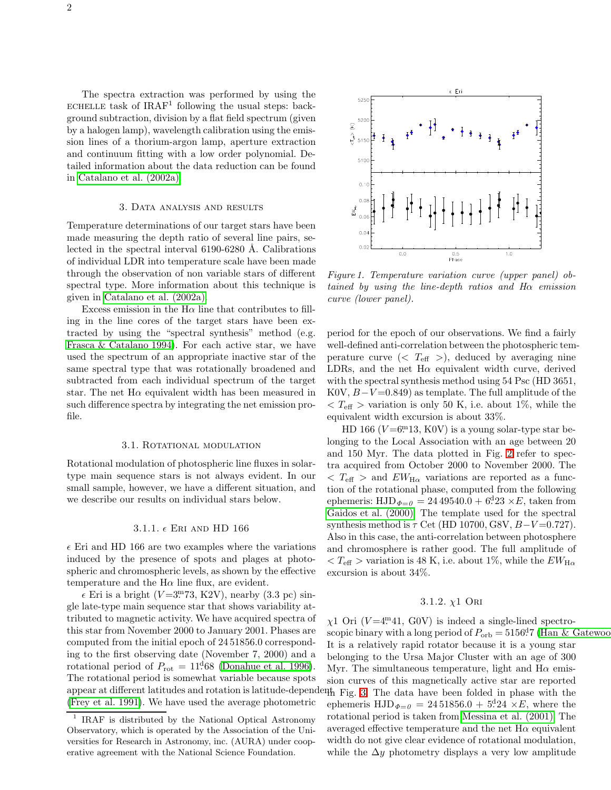The spectra extraction was performed by using the ECHELLE task of  $IRAF<sup>1</sup>$  following the usual steps: background subtraction, division by a flat field spectrum (given by a halogen lamp), wavelength calibration using the emission lines of a thorium-argon lamp, aperture extraction and continuum fitting with a low order polynomial. Detailed information about the data reduction can be found in [Catalano et al. \(2002a\).](#page-4-1)

# 3. Data analysis and results

Temperature determinations of our target stars have been made measuring the depth ratio of several line pairs, selected in the spectral interval 6190-6280 Å. Calibrations of individual LDR into temperature scale have been made through the observation of non variable stars of different spectral type. More information about this technique is given in [Catalano et al. \(2002a\).](#page-4-1)

Excess emission in the  $H\alpha$  line that contributes to filling in the line cores of the target stars have been extracted by using the "spectral synthesis" method (e.g. [Frasca & Catalano 1994\)](#page-4-4). For each active star, we have used the spectrum of an appropriate inactive star of the same spectral type that was rotationally broadened and subtracted from each individual spectrum of the target star. The net  $H\alpha$  equivalent width has been measured in such difference spectra by integrating the net emission profile.

# 3.1. ROTATIONAL MODULATION

Rotational modulation of photospheric line fluxes in solartype main sequence stars is not always evident. In our small sample, however, we have a different situation, and we describe our results on individual stars below.

#### 3.1.1.  $\epsilon$  Eri and HD 166

 $\epsilon$  Eri and HD 166 are two examples where the variations induced by the presence of spots and plages at photospheric and chromospheric levels, as shown by the effective temperature and the  $H\alpha$  line flux, are evident.

 $\epsilon$  Eri is a bright (V=3.73, K2V), nearby (3.3 pc) single late-type main sequence star that shows variability attributed to magnetic activity. We have acquired spectra of this star from November 2000 to January 2001. Phases are computed from the initial epoch of 24 51856.0 corresponding to the first observing date (November 7, 2000) and a rotational period of  $P_{\text{rot}} = 11^{d}68$  [\(Donahue et al. 1996\)](#page-4-5). The rotational period is somewhat variable because spots [\(Frey et al. 1991\)](#page-4-6). We have used the average photometric



Figure 1. Temperature variation curve (upper panel) obtained by using the line-depth ratios and Hα emission curve (lower panel).

period for the epoch of our observations. We find a fairly well-defined anti-correlation between the photospheric temperature curve  $( $T_{\text{eff}} >$ ), deduced by averaging nine$ LDRs, and the net  $H\alpha$  equivalent width curve, derived with the spectral synthesis method using 54 Psc (HD 3651, K0V,  $B-V=0.849$  as template. The full amplitude of the  $T_{\text{eff}} >$  variation is only 50 K, i.e. about 1\%, while the equivalent width excursion is about 33%.

HD 166 ( $V = 6$ <sup>m</sup> 13, K0V) is a young solar-type star belonging to the Local Association with an age between 20 and 150 Myr. The data plotted in Fig. [2](#page-3-0) refer to spectra acquired from October 2000 to November 2000. The  $\langle T_{\text{eff}} \rangle$  and  $EW_{\text{H}\alpha}$  variations are reported as a function of the rotational phase, computed from the following ephemeris: HJD $_{\Phi=0}$  = 24 49540.0 + 6<sup>d</sup>23  $\times E$ , taken from [Gaidos et al. \(2000\).](#page-4-7) The template used for the spectral synthesis method is  $\tau$  Cet (HD 10700, G8V,  $B-V=0.727$ ). Also in this case, the anti-correlation between photosphere and chromosphere is rather good. The full amplitude of  $T_{\text{eff}} >$  variation is 48 K, i.e. about 1\%, while the  $EW_{\text{H}\alpha}$ excursion is about 34%.

# 3.1.2.  $\chi$ 1 Ori

appear at different latitudes and rotation is latitude-dependent Fig. [3.](#page-3-1) The data have been folded in phase with the  $\chi$ 1 Ori (V=4.<sup>m</sup>41, G0V) is indeed a single-lined spectroscopic binary with a long period of  $P_{\text{orb}} = 5156\cdot$ <sup>d</sup>. (Han & Gatewood). It is a relatively rapid rotator because it is a young star belonging to the Ursa Major Cluster with an age of 300 Myr. The simultaneous temperature, light and  $H\alpha$  emission curves of this magnetically active star are reported ephemeris  $HJD_{\Phi=0} = 2451856.0 + 5.24 \times E$ , where the rotational period is taken from [Messina et al. \(2001\).](#page-5-2) The averaged effective temperature and the net  $H\alpha$  equivalent width do not give clear evidence of rotational modulation, while the  $\Delta y$  photometry displays a very low amplitude

<sup>&</sup>lt;sup>1</sup> IRAF is distributed by the National Optical Astronomy Observatory, which is operated by the Association of the Universities for Research in Astronomy, inc. (AURA) under cooperative agreement with the National Science Foundation.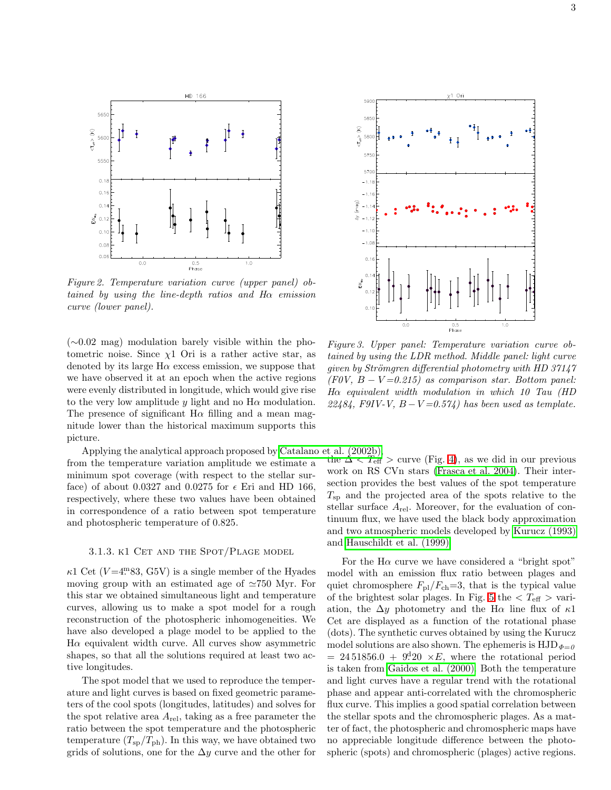

<span id="page-3-0"></span>Figure 2. Temperature variation curve (upper panel) obtained by using the line-depth ratios and  $H\alpha$  emission curve (lower panel).

(∼0.02 mag) modulation barely visible within the photometric noise. Since  $\chi$ 1 Ori is a rather active star, as denoted by its large  $H\alpha$  excess emission, we suppose that we have observed it at an epoch when the active regions were evenly distributed in longitude, which would give rise to the very low amplitude y light and no  $H\alpha$  modulation. The presence of significant  $H\alpha$  filling and a mean magnitude lower than the historical maximum supports this picture.

Applying the analytical approach proposed by [Catalano et al. \(2002b\),](#page-4-8) from the temperature variation amplitude we estimate a minimum spot coverage (with respect to the stellar surface) of about 0.0327 and 0.0275 for  $\epsilon$  Eri and HD 166, respectively, where these two values have been obtained in correspondence of a ratio between spot temperature and photospheric temperature of 0.825.

# 3.1.3. K1 CET AND THE SPOT/PLAGE MODEL

 $\kappa$ 1 Cet ( $V = 4.93$ , G5V) is a single member of the Hyades moving group with an estimated age of ≃750 Myr. For this star we obtained simultaneous light and temperature curves, allowing us to make a spot model for a rough reconstruction of the photospheric inhomogeneities. We have also developed a plage model to be applied to the  $H\alpha$  equivalent width curve. All curves show asymmetric shapes, so that all the solutions required at least two active longitudes.

The spot model that we used to reproduce the temperature and light curves is based on fixed geometric parameters of the cool spots (longitudes, latitudes) and solves for the spot relative area  $A_{rel}$ , taking as a free parameter the ratio between the spot temperature and the photospheric temperature  $(T_{\rm sp}/T_{\rm ph})$ . In this way, we have obtained two grids of solutions, one for the  $\Delta y$  curve and the other for



<span id="page-3-1"></span>Figure 3. Upper panel: Temperature variation curve obtained by using the LDR method. Middle panel: light curve given by Strömgren differential photometry with HD 37147  $(F0V, B - V=0.215)$  as comparison star. Bottom panel: Hα equivalent width modulation in which 10 Tau (HD 22484, F9IV-V,  $B-V=0.574$ ) has been used as template.

the  $\Delta \tilde{\langle T_{\text{eff}}^{\prime\prime}\rangle}$  curve (Fig. [4\)](#page-4-9), as we did in our previous work on RS CVn stars [\(Frasca et al. 2004\)](#page-4-10). Their intersection provides the best values of the spot temperature  $T_{\rm SD}$  and the projected area of the spots relative to the stellar surface  $A_{\text{rel}}$ . Moreover, for the evaluation of continuum flux, we have used the black body approximation and two atmospheric models developed by [Kurucz \(1993\)](#page-5-3) and [Hauschildt et al. \(1999\).](#page-5-4)

For the  $H\alpha$  curve we have considered a "bright spot" model with an emission flux ratio between plages and quiet chromosphere  $F_{\text{pl}}/F_{\text{ch}}=3$ , that is the typical value of the brightest solar plages. In Fig. [5](#page-4-11) the  $\langle T_{\text{eff}} \rangle$  variation, the  $\Delta y$  photometry and the H $\alpha$  line flux of  $\kappa$ 1 Cet are displayed as a function of the rotational phase (dots). The synthetic curves obtained by using the Kurucz model solutions are also shown. The ephemeris is  $HJD_{\Phi=0}$  $= 24\,51856.0 + 9<sup>d</sup>20 \times E$ , where the rotational period is taken from [Gaidos et al. \(2000\).](#page-4-7) Both the temperature and light curves have a regular trend with the rotational phase and appear anti-correlated with the chromospheric flux curve. This implies a good spatial correlation between the stellar spots and the chromospheric plages. As a matter of fact, the photospheric and chromospheric maps have no appreciable longitude difference between the photospheric (spots) and chromospheric (plages) active regions.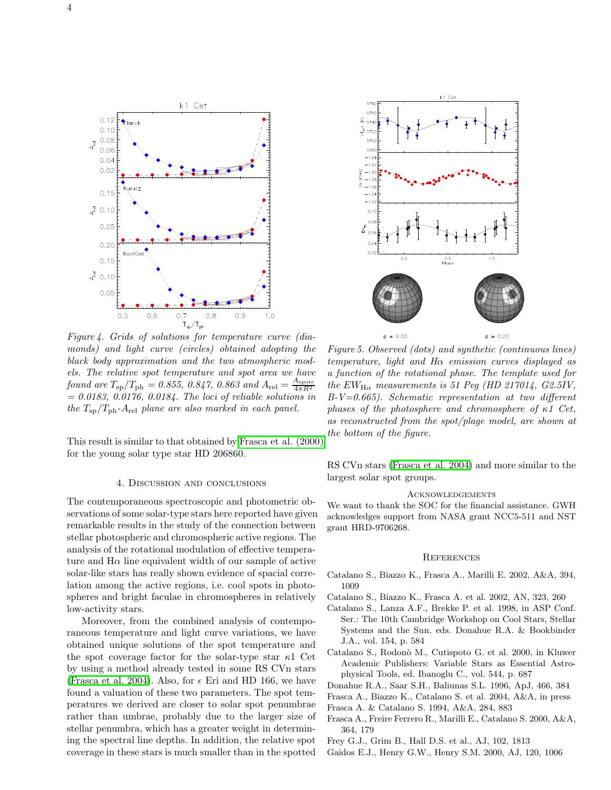

<span id="page-4-9"></span>Figure 4. Grids of solutions for temperature curve (diamonds) and light curve (circles) obtained adopting the black body approximation and the two atmospheric models. The relative spot temperature and spot area we have found are  $T_{\rm sp}/T_{\rm ph} = 0.855, 0.847, 0.863$  and  $A_{\rm rel} = \frac{A_{\rm spots}}{4\pi R^2}$  $= 0.0183, 0.0176, 0.0184$ . The loci of reliable solutions in the  $T_{\rm sb}/T_{\rm ph}$ -A<sub>rel</sub> plane are also marked in each panel.

This result is similar to that obtained by [Frasca et al. \(2000\)](#page-4-2) for the young solar type star HD 206860.

# 4. Discussion and conclusions

The contemporaneous spectroscopic and photometric observations of some solar-type stars here reported have given remarkable results in the study of the connection between stellar photospheric and chromospheric active regions. The analysis of the rotational modulation of effective temperature and  $H\alpha$  line equivalent width of our sample of active solar-like stars has really shown evidence of spacial correlation among the active regions, i.e. cool spots in photospheres and bright faculae in chromospheres in relatively low-activity stars.

Moreover, from the combined analysis of contemporaneous temperature and light curve variations, we have obtained unique solutions of the spot temperature and the spot coverage factor for the solar-type star  $\kappa$ 1 Cet by using a method already tested in some RS CVn stars [\(Frasca et al. 2004\)](#page-4-10). Also, for  $\epsilon$  Eri and HD 166, we have found a valuation of these two parameters. The spot temperatures we derived are closer to solar spot penumbrae rather than umbrae, probably due to the larger size of stellar penumbra, which has a greater weight in determining the spectral line depths. In addition, the relative spot coverage in these stars is much smaller than in the spotted



<span id="page-4-11"></span>Figure 5. Observed (dots) and synthetic (continuous lines) temperature, light and Hα emission curves displayed as a function of the rotational phase. The template used for the  $EW_{\text{H}\alpha}$  measurements is 51 Peg (HD 217014, G2.5IV,  $B-V=0.665$ ). Schematic representation at two different phases of the photosphere and chromosphere of  $\kappa$ 1 Cet, as reconstructed from the spot/plage model, are shown at the bottom of the figure.

RS CVn stars [\(Frasca et al. 2004\)](#page-4-10) and more similar to the largest solar spot groups.

#### **ACKNOWLEDGEMENTS**

We want to thank the SOC for the financial assistance. GWH acknowledges support from NASA grant NCC5-511 and NST grant HRD-9706268.

#### **REFERENCES**

- <span id="page-4-1"></span>Catalano S., Biazzo K., Frasca A., Marilli E. 2002, A&A, 394, 1009
- <span id="page-4-8"></span><span id="page-4-0"></span>Catalano S., Biazzo K., Frasca A. et al. 2002, AN, 323, 260
- Catalano S., Lanza A.F., Brekke P. et al. 1998, in ASP Conf. Ser.: The 10th Cambridge Workshop on Cool Stars, Stellar Systems and the Sun, eds. Donahue R.A. & Bookbinder J.A., vol. 154, p. 584
- <span id="page-4-3"></span>Catalano S., Rodon`o M., Cutispoto G. et al. 2000, in Kluwer Academic Publishers: Variable Stars as Essential Astrophysical Tools, ed. Ibanoglu C., vol. 544, p. 687
- <span id="page-4-5"></span>Donahue R.A., Saar S.H., Baliunas S.L. 1996, ApJ, 466, 384
- <span id="page-4-10"></span><span id="page-4-4"></span>Frasca A., Biazzo K., Catalano S. et al. 2004, A&A, in press
- Frasca A. & Catalano S. 1994, A&A, 284, 883
- <span id="page-4-6"></span><span id="page-4-2"></span>Frasca A., Freire Ferrero R., Marilli E., Catalano S. 2000, A&A, 364, 179
- Frey G.J., Grim B., Hall D.S. et al., AJ, 102, 1813
- <span id="page-4-7"></span>Gaidos E.J., Henry G.W., Henry S.M. 2000, AJ, 120, 1006